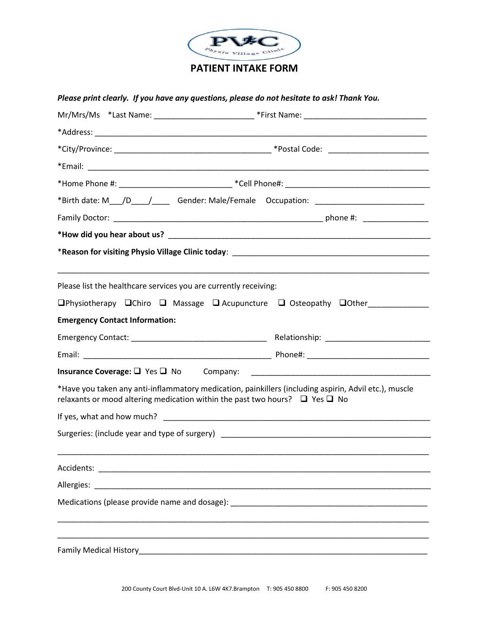

## **PATIENT INTAKE FORM**

## *Please print clearly. If you have any questions, please do not hesitate to ask! Thank You.*

|                                                                                       | *Birth date: M___/D_____/_______Gender: Male/Female Occupation: _________________                                    |  |  |
|---------------------------------------------------------------------------------------|----------------------------------------------------------------------------------------------------------------------|--|--|
|                                                                                       |                                                                                                                      |  |  |
|                                                                                       |                                                                                                                      |  |  |
|                                                                                       |                                                                                                                      |  |  |
| Please list the healthcare services you are currently receiving:                      |                                                                                                                      |  |  |
|                                                                                       |                                                                                                                      |  |  |
| <b>Emergency Contact Information:</b>                                                 |                                                                                                                      |  |  |
|                                                                                       |                                                                                                                      |  |  |
|                                                                                       |                                                                                                                      |  |  |
| <b>Insurance Coverage:</b> $\Box$ Yes $\Box$ No Company:                              | <u> 2000 - Jan James James James James James James James James James James James James James James James James J</u> |  |  |
| relaxants or mood altering medication within the past two hours? $\Box$ Yes $\Box$ No | *Have you taken any anti-inflammatory medication, painkillers (including aspirin, Advil etc.), muscle                |  |  |
|                                                                                       |                                                                                                                      |  |  |
|                                                                                       | Surgeries: (include year and type of surgery) ___________________________________                                    |  |  |
| Accidents:                                                                            |                                                                                                                      |  |  |
|                                                                                       |                                                                                                                      |  |  |
|                                                                                       |                                                                                                                      |  |  |
|                                                                                       |                                                                                                                      |  |  |
|                                                                                       |                                                                                                                      |  |  |